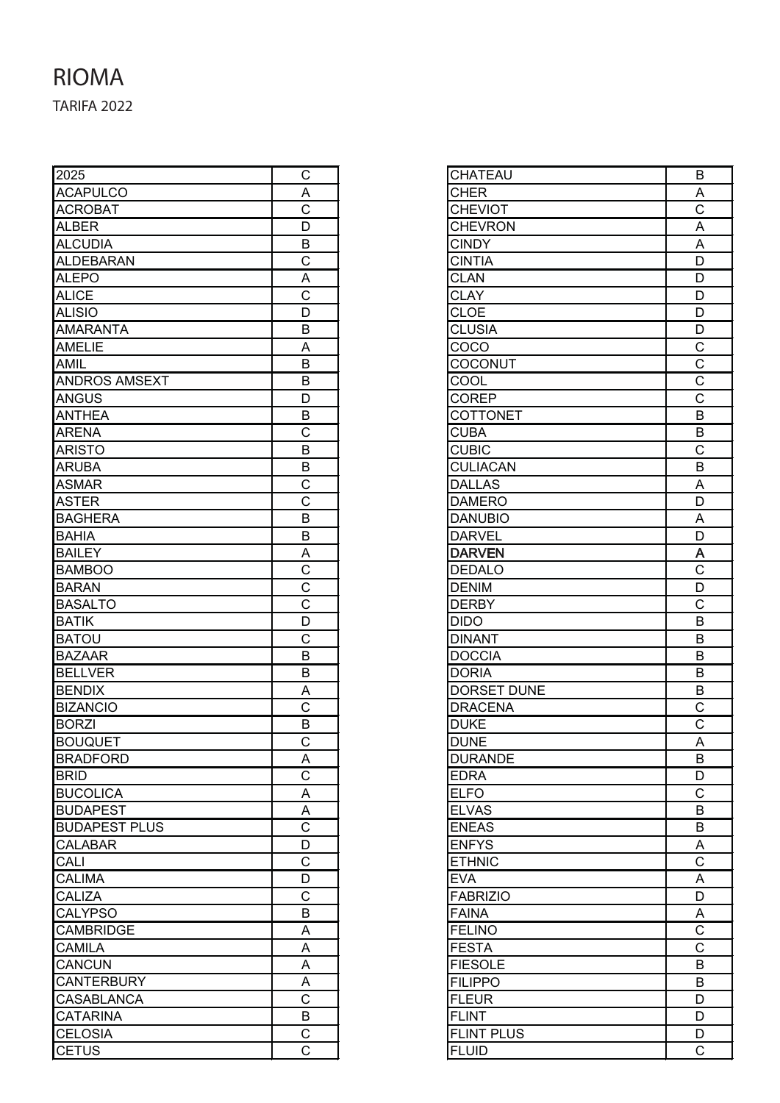## TARIFA 2022 RIOMA

| 2025                 | C                       |
|----------------------|-------------------------|
| <b>ACAPULCO</b>      | $\overline{A}$          |
| <b>ACROBAT</b>       | Ċ                       |
| ALBER                | D                       |
| <b>ALCUDIA</b>       | B                       |
| <b>ALDEBARAN</b>     | C                       |
| <b>ALEPO</b>         | A                       |
| <b>ALICE</b>         | $\overline{\text{c}}$   |
| <b>ALISIO</b>        | D                       |
| <b>AMARANTA</b>      | B                       |
| <b>AMELIE</b>        | A                       |
| <b>AMIL</b>          | Β                       |
| <b>ANDROS AMSEXT</b> | B                       |
| <b>ANGUS</b>         | D                       |
| <b>ANTHEA</b>        | B                       |
| <b>ARENA</b>         | $\overline{\text{c}}$   |
| <b>ARISTO</b>        | B                       |
| <b>ARUBA</b>         | $\sf B$                 |
| <b>ASMAR</b>         | $\overline{C}$          |
| <b>ASTER</b>         | $\overline{\mathrm{c}}$ |
| <b>BAGHERA</b>       | B                       |
| <b>BAHIA</b>         | B                       |
| <b>BAILEY</b>        |                         |
| <b>BAMBOO</b>        | $rac{A}{C}$             |
| <b>BARAN</b>         | $\overline{\text{c}}$   |
| <b>BASALTO</b>       | $\overline{\text{c}}$   |
| <b>BATIK</b>         | D                       |
| <b>BATOU</b>         | $\overline{\text{c}}$   |
| <b>BAZAAR</b>        | B                       |
| <b>BELLVER</b>       | B                       |
| <b>BENDIX</b>        | Α                       |
| <b>BIZANCIO</b>      | $\overline{C}$          |
| <b>BORZI</b>         | B                       |
| <b>BOUQUET</b>       | Ć                       |
| <b>BRADFORD</b>      | A                       |
| <b>BRID</b>          | $\overline{\text{c}}$   |
| <b>BUCOLICA</b>      | Α                       |
| <b>BUDAPEST</b>      |                         |
| <b>BUDAPEST PLUS</b> | $rac{A}{C}$             |
| <b>CALABAR</b>       | $\overline{D}$          |
| CALI                 | $\overline{C}$          |
| <b>CALIMA</b>        | D                       |
| <b>CALIZA</b>        | $\overline{\text{c}}$   |
| <b>CALYPSO</b>       | B                       |
| <b>CAMBRIDGE</b>     | A                       |
| <b>CAMILA</b>        | A                       |
| CANCUN               | A                       |
| <b>CANTERBURY</b>    | Α                       |
| <b>CASABLANCA</b>    | $\overline{\text{c}}$   |
| <b>CATARINA</b>      | B                       |
| <b>CELOSIA</b>       | $\overline{\text{c}}$   |
| <b>CETUS</b>         | C                       |
|                      |                         |

| <b>CHATEAU</b>     | B                                             |
|--------------------|-----------------------------------------------|
| <b>CHER</b>        | $rac{A}{C}$                                   |
| <b>CHEVIOT</b>     |                                               |
| <b>CHEVRON</b>     | $\overline{A}$                                |
| <b>CINDY</b>       | $\overline{A}$                                |
| <b>CINTIA</b>      | $\overline{\mathsf{D}}$                       |
| <b>CLAN</b>        | $\overline{D}$                                |
| <b>CLAY</b>        | $\overline{D}$                                |
| <b>CLOE</b>        | $\overline{D}$                                |
| <b>CLUSIA</b>      | $\overline{D}$                                |
| COCO               | $\frac{C}{C}$                                 |
| COCONUT            |                                               |
| COOL               |                                               |
| <b>COREP</b>       |                                               |
| COTTONET           | $\overline{B}$                                |
| <b>CUBA</b>        | $\overline{B}$                                |
| <b>CUBIC</b>       | $\overline{\text{c}}$                         |
| <b>CULIACAN</b>    | $\overline{B}$                                |
| <b>DALLAS</b>      | A                                             |
| <b>DAMERO</b>      | $\overline{\mathsf{D}}$                       |
| <b>DANUBIO</b>     |                                               |
| <b>DARVEL</b>      | $rac{A}{D}$                                   |
| <b>DARVEN</b>      |                                               |
| <b>DEDALO</b>      | $rac{A}{C}$ $rac{D}{C}$                       |
| <b>DENIM</b>       |                                               |
| <b>DERBY</b>       |                                               |
| <b>DIDO</b>        | $\overline{B}$                                |
| <b>DINANT</b>      | B                                             |
| <b>DOCCIA</b>      | B                                             |
| <b>DORIA</b>       | B                                             |
| <b>DORSET DUNE</b> | B                                             |
| <b>DRACENA</b>     |                                               |
| <b>DUKE</b>        | $rac{C}{C}$                                   |
| <b>DUNE</b>        | $\overline{\mathsf{A}}$                       |
| <b>DURANDE</b>     | B                                             |
| <b>EDRA</b>        | D                                             |
| <b>ELFO</b>        | C                                             |
| <b>ELVAS</b>       | B                                             |
| <b>ENEAS</b>       | B                                             |
| <b>ENFYS</b>       |                                               |
| <b>ETHNIC</b>      | $rac{A}{C}$                                   |
| <b>EVA</b>         | $\overline{A}$                                |
| <b>FABRIZIO</b>    | $\overline{D}$                                |
| <b>FAINA</b>       |                                               |
| <b>FELINO</b>      | $\overline{AC}$ $\overline{C}$ $\overline{B}$ |
| <b>FESTA</b>       |                                               |
| <b>FIESOLE</b>     |                                               |
| <b>FILIPPO</b>     | B                                             |
| <b>FLEUR</b>       | D                                             |
| <b>FLINT</b>       | D                                             |
| FLINT PLUS         | D                                             |
| <b>FLUID</b>       | $\overline{\text{c}}$                         |
|                    |                                               |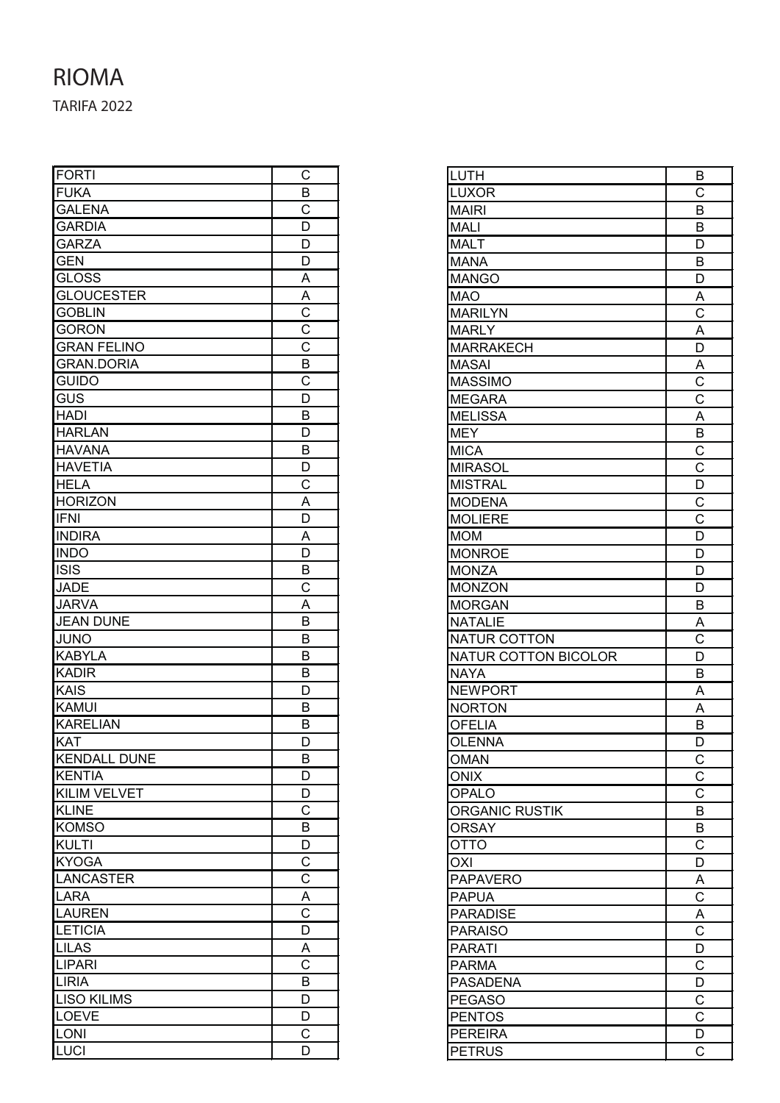## TARIFA 2022 RIOMA

| <b>FORTI</b>        | С                       |
|---------------------|-------------------------|
| <b>FUKA</b>         | B                       |
| <b>GALENA</b>       | $\mathsf C$             |
| <b>GARDIA</b>       | D                       |
| <b>GARZA</b>        | D                       |
| <b>GEN</b>          | D                       |
| <b>GLOSS</b>        | A                       |
| <b>GLOUCESTER</b>   | $\overline{A}$          |
| <b>GOBLIN</b>       | $\overline{C}$          |
| <b>GORON</b>        | $rac{C}{C}$             |
| <b>GRAN FELINO</b>  |                         |
| <b>GRAN.DORIA</b>   | B                       |
| <b>GUIDO</b>        | $\overline{\text{c}}$   |
| GUS                 | D                       |
| <b>HADI</b>         | B                       |
| <b>HARLAN</b>       | D                       |
| <b>HAVANA</b>       | B                       |
| <b>HAVETIA</b>      | D                       |
| <b>HELA</b>         | C                       |
| <b>HORIZON</b>      | A                       |
| <b>IFNI</b>         | D                       |
| <b>INDIRA</b>       | A                       |
| <b>INDO</b>         | D                       |
| <b>ISIS</b>         | B                       |
| <b>JADE</b>         | C                       |
| <b>JARVA</b>        | A                       |
| <b>JEAN DUNE</b>    | B                       |
| <b>JUNO</b>         | B                       |
| <b>KABYLA</b>       | В                       |
| <b>KADIR</b>        | B                       |
| <b>KAIS</b>         | D                       |
| KAMUI               | B                       |
| <b>KARELIAN</b>     | B                       |
| <b>KAT</b>          | D                       |
| <b>KENDALL DUNE</b> | В                       |
| <b>KENTIA</b>       | D                       |
| <b>KILIM VELVET</b> | D                       |
| <b>KLINE</b>        | $\overline{C}$          |
| <b>KOMSO</b>        | B                       |
| <b>KULTI</b>        | D                       |
| <b>KYOGA</b>        | $\overline{C}$          |
| <b>LANCASTER</b>    | $\overline{C}$          |
| <b>LARA</b>         | $\frac{A}{C}$           |
| <b>LAUREN</b>       |                         |
| <b>LETICIA</b>      | $\overline{D}$          |
| <b>LILAS</b>        | A                       |
| <b>LIPARI</b>       | $\overline{\text{c}}$   |
| <b>LIRIA</b>        | B                       |
| <b>LISO KILIMS</b>  | $\overline{\mathsf{D}}$ |
| <b>LOEVE</b>        | D                       |
| <b>LONI</b>         | С                       |
| <b>LUCI</b>         | D                       |

| <b>LUTH</b>                     | В                                    |
|---------------------------------|--------------------------------------|
| <b>LUXOR</b>                    | $\overline{\text{c}}$                |
| <b>MAIRI</b>                    | B                                    |
| <b>MALI</b>                     | B                                    |
| <b>MALT</b>                     | D                                    |
| <b>MANA</b>                     | B                                    |
| <b>MANGO</b>                    | D                                    |
| <b>MAO</b>                      | A                                    |
| <b>MARILYN</b>                  | $\overline{\text{c}}$                |
| <b>MARLY</b>                    | A                                    |
| <b>MARRAKECH</b>                | D                                    |
| <b>MASAI</b>                    |                                      |
| <b>MASSIMO</b>                  | $rac{A}{C}$                          |
| <b>MEGARA</b>                   |                                      |
| <b>MELISSA</b>                  | A                                    |
| <b>MEY</b>                      | $\overline{B}$                       |
| <b>MICA</b>                     | $\overline{C}$                       |
| <b>MIRASOL</b>                  | $\overline{C}$                       |
|                                 |                                      |
| <b>MISTRAL</b>                  | $\overline{D}$                       |
| <b>MODENA</b>                   |                                      |
| <b>MOLIERE</b>                  | $rac{C}{D}$                          |
| <b>MOM</b>                      |                                      |
| <b>MONROE</b>                   | D                                    |
| <b>MONZA</b>                    | D                                    |
| <b>MONZON</b>                   | D                                    |
| <b>MORGAN</b>                   | B                                    |
| <b>NATALIE</b>                  | A                                    |
| <b>NATUR COTTON</b>             | $\overline{\text{c}}$                |
| <b>NATUR COTTON BICOLOR</b>     | D                                    |
| <b>NAYA</b>                     | B                                    |
| <b>NEWPORT</b>                  | A                                    |
| <b>NORTON</b>                   | A                                    |
| <b>OFELIA</b>                   | B                                    |
| <b>OLENNA</b>                   | D                                    |
| <b>OMAN</b>                     | $\overline{C}$                       |
| <b>ONIX</b>                     | $\overline{\text{c}}$                |
| <b>OPALO</b>                    | $\overline{\text{c}}$                |
| <b>ORGANIC RUSTIK</b>           | $\overline{\mathsf{B}}$              |
| <b>ORSAY</b>                    | B                                    |
| <b>OTTO</b>                     | $\overline{C}$                       |
| <b>OXI</b>                      | D                                    |
| <b>PAPAVERO</b>                 |                                      |
| <b>PAPUA</b>                    | $\frac{\overline{A}}{\underline{C}}$ |
| <b>PARADISE</b>                 |                                      |
| <b>PARAISO</b>                  | $\frac{\overline{A}}{C}$             |
| <b>PARATI</b>                   |                                      |
| <b>PARMA</b>                    | $\frac{1}{D}$                        |
| <b>PASADENA</b>                 |                                      |
|                                 |                                      |
|                                 |                                      |
| <b>PEGASO</b>                   | $\overline{C}$                       |
| <b>PENTOS</b>                   | $\overline{\text{c}}$                |
| <b>PEREIRA</b><br><b>PETRUS</b> | $\overline{\mathsf{D}}$<br>C         |